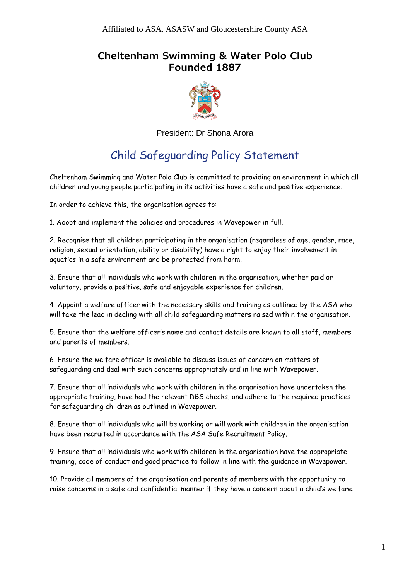## **Cheltenham Swimming & Water Polo Club Founded 1887**



President: Dr Shona Arora

## Child Safeguarding Policy Statement

Cheltenham Swimming and Water Polo Club is committed to providing an environment in which all children and young people participating in its activities have a safe and positive experience.

In order to achieve this, the organisation agrees to:

1. Adopt and implement the policies and procedures in Wavepower in full.

2. Recognise that all children participating in the organisation (regardless of age, gender, race, religion, sexual orientation, ability or disability) have a right to enjoy their involvement in aquatics in a safe environment and be protected from harm.

3. Ensure that all individuals who work with children in the organisation, whether paid or voluntary, provide a positive, safe and enjoyable experience for children.

4. Appoint a welfare officer with the necessary skills and training as outlined by the ASA who will take the lead in dealing with all child safeguarding matters raised within the organisation.

5. Ensure that the welfare officer's name and contact details are known to all staff, members and parents of members.

6. Ensure the welfare officer is available to discuss issues of concern on matters of safeguarding and deal with such concerns appropriately and in line with Wavepower.

7. Ensure that all individuals who work with children in the organisation have undertaken the appropriate training, have had the relevant DBS checks, and adhere to the required practices for safeguarding children as outlined in Wavepower.

8. Ensure that all individuals who will be working or will work with children in the organisation have been recruited in accordance with the ASA Safe Recruitment Policy.

9. Ensure that all individuals who work with children in the organisation have the appropriate training, code of conduct and good practice to follow in line with the guidance in Wavepower.

10. Provide all members of the organisation and parents of members with the opportunity to raise concerns in a safe and confidential manner if they have a concern about a child's welfare.